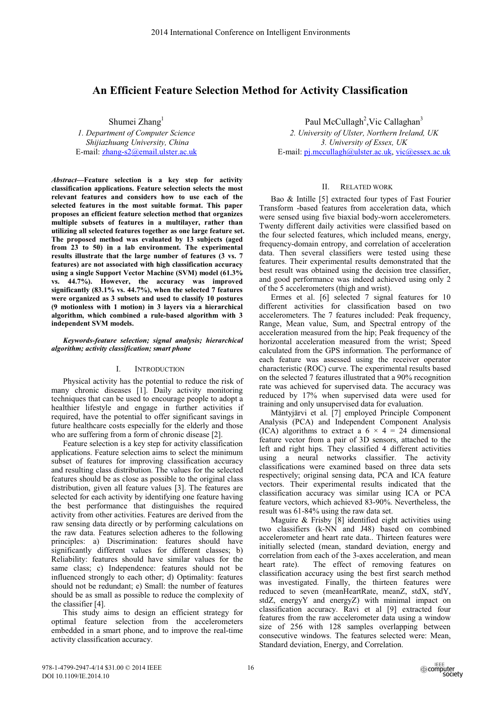# **An Efficient Feature Selection Method for Activity Classification**

Shumei Zhang<sup>1</sup>

*1. Department of Computer Science Shijiazhuang University, China*  E-mail: zhang-s2@email.ulster.ac.uk

*Abstract***—Feature selection is a key step for activity classification applications. Feature selection selects the most relevant features and considers how to use each of the selected features in the most suitable format. This paper proposes an efficient feature selection method that organizes multiple subsets of features in a multilayer, rather than utilizing all selected features together as one large feature set. The proposed method was evaluated by 13 subjects (aged from 23 to 50) in a lab environment. The experimental results illustrate that the large number of features (3 vs. 7 features) are not associated with high classification accuracy using a single Support Vector Machine (SVM) model (61.3% vs. 44.7%). However, the accuracy was improved significantly (83.1% vs. 44.7%), when the selected 7 features were organized as 3 subsets and used to classify 10 postures (9 motionless with 1 motion) in 3 layers via a hierarchical algorithm, which combined a rule-based algorithm with 3 independent SVM models.** 

## *Keywords-feature selection; signal analysis; hierarchical algorithm; activity classification; smart phone*

## I. INTRODUCTION

Physical activity has the potential to reduce the risk of many chronic diseases [1]. Daily activity monitoring techniques that can be used to encourage people to adopt a healthier lifestyle and engage in further activities if required, have the potential to offer significant savings in future healthcare costs especially for the elderly and those who are suffering from a form of chronic disease [2].

Feature selection is a key step for activity classification applications. Feature selection aims to select the minimum subset of features for improving classification accuracy and resulting class distribution. The values for the selected features should be as close as possible to the original class distribution, given all feature values [3]. The features are selected for each activity by identifying one feature having the best performance that distinguishes the required activity from other activities. Features are derived from the raw sensing data directly or by performing calculations on the raw data. Features selection adheres to the following principles: a) Discrimination: features should have significantly different values for different classes; b) Reliability: features should have similar values for the same class; c) Independence: features should not be influenced strongly to each other; d) Optimality: features should not be redundant; e) Small: the number of features should be as small as possible to reduce the complexity of the classifier [4].

This study aims to design an efficient strategy for optimal feature selection from the accelerometers embedded in a smart phone, and to improve the real-time activity classification accuracy.

Paul McCullagh<sup>2</sup>, Vic Callaghan<sup>3</sup>

*2. University of Ulster, Northern Ireland, UK 3. University of Essex, UK*  E-mail: pj.mccullagh@ulster.ac.uk, vic@essex.ac.uk

# II. RELATED WORK

Bao & Intille [5] extracted four types of Fast Fourier Transform -based features from acceleration data, which were sensed using five biaxial body-worn accelerometers. Twenty different daily activities were classified based on the four selected features, which included means, energy, frequency-domain entropy, and correlation of acceleration data. Then several classifiers were tested using these features. Their experimental results demonstrated that the best result was obtained using the decision tree classifier, and good performance was indeed achieved using only 2 of the 5 accelerometers (thigh and wrist).

Ermes et al. [6] selected 7 signal features for 10 different activities for classification based on two accelerometers. The 7 features included: Peak frequency, Range, Mean value, Sum, and Spectral entropy of the acceleration measured from the hip; Peak frequency of the horizontal acceleration measured from the wrist; Speed calculated from the GPS information. The performance of each feature was assessed using the receiver operator characteristic (ROC) curve. The experimental results based on the selected 7 features illustrated that a 90% recognition rate was achieved for supervised data. The accuracy was reduced by 17% when supervised data were used for training and only unsupervised data for evaluation.

Mäntyjärvi et al. [7] employed Principle Component Analysis (PCA) and Independent Component Analysis (ICA) algorithms to extract a  $6 \times 4 = 24$  dimensional feature vector from a pair of 3D sensors, attached to the left and right hips. They classified 4 different activities using a neural networks classifier. The activity classifications were examined based on three data sets respectively; original sensing data, PCA and ICA feature vectors. Their experimental results indicated that the classification accuracy was similar using ICA or PCA feature vectors, which achieved 83-90%. Nevertheless, the result was 61-84% using the raw data set.

Maguire & Frisby  $\lceil 8 \rceil$  identified eight activities using two classifiers (k-NN and J48) based on combined accelerometer and heart rate data.. Thirteen features were initially selected (mean, standard deviation, energy and correlation from each of the 3-axes acceleration, and mean heart rate). The effect of removing features on classification accuracy using the best first search method was investigated. Finally, the thirteen features were reduced to seven (meanHeartRate, meanZ, stdX, stdY, stdZ, energyY and energyZ) with minimal impact on classification accuracy. Ravi et al [9] extracted four features from the raw accelerometer data using a window size of 256 with 128 samples overlapping between consecutive windows. The features selected were: Mean, Standard deviation, Energy, and Correlation.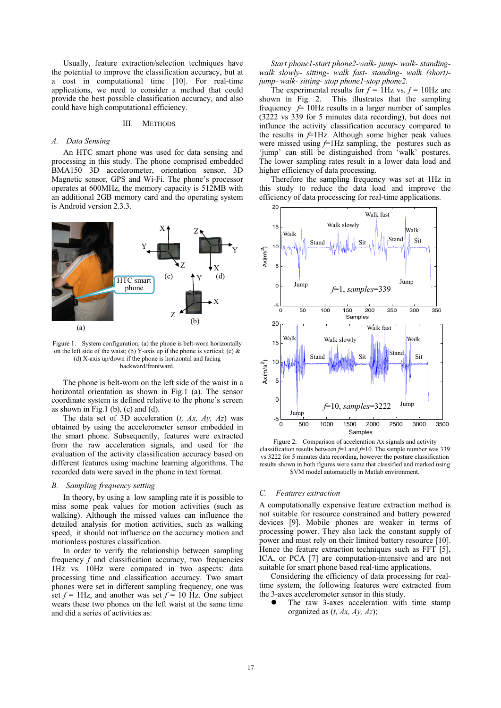Usually, feature extraction/selection techniques have the potential to improve the classification accuracy, but at a cost in computational time [10]. For real-time applications, we need to consider a method that could provide the best possible classification accuracy, and also could have high computational efficiency.

### III. METHODS

## *A. Data Sensing*

An HTC smart phone was used for data sensing and processing in this study. The phone comprised embedded BMA150 3D accelerometer, orientation sensor, 3D Magnetic sensor, GPS and Wi-Fi. The phone's processor operates at 600MHz, the memory capacity is 512MB with an additional 2GB memory card and the operating system is Android version 2.3.3.



Figure 1. System configuration; (a) the phone is belt-worn horizontally on the left side of the waist; (b) Y-axis up if the phone is vertical; (c)  $\&$ (d) X-axis up/down if the phone is horizontal and facing backward/frontward.

The phone is belt-worn on the left side of the waist in a horizontal orientation as shown in Fig.1 (a). The sensor coordinate system is defined relative to the phone's screen as shown in Fig.1 (b), (c) and (d).

The data set of 3D acceleration (*t, Ax, Ay, Az*) was obtained by using the accelerometer sensor embedded in the smart phone. Subsequently, features were extracted from the raw acceleration signals, and used for the evaluation of the activity classification accuracy based on different features using machine learning algorithms. The recorded data were saved in the phone in text format.

## *B. Sampling frequency setting*

In theory, by using a low sampling rate it is possible to miss some peak values for motion activities (such as walking). Although the missed values can influence the detailed analysis for motion activities, such as walking speed, it should not influence on the accuracy motion and motionless postures classification.

In order to verify the relationship between sampling frequency *f* and classification accuracy, two frequencies 1Hz vs. 10Hz were compared in two aspects: data processing time and classification accuracy. Two smart phones were set in different sampling frequency, one was set  $f = 1$ Hz, and another was set  $f = 10$  Hz. One subject wears these two phones on the left waist at the same time and did a series of activities as:

*Start phone1-start phone2-walk- jump- walk- standingwalk slowly- sitting- walk fast- standing- walk (short) jump- walk- sitting- stop phone1-stop phone2*.

The experimental results for  $f = 1$ Hz vs.  $f = 10$ Hz are shown in Fig. 2. This illustrates that the sampling This illustrates that the sampling frequency  $f = 10$ Hz results in a larger number of samples (3222 vs 339 for 5 minutes data recording), but does not influnce the activity classification accuracy compared to the results in  $f=1$ Hz. Although some higher peak values were missed using  $f=1$ Hz sampling, the postures such as 'jump' can still be distinguished from 'walk' postures. The lower sampling rates result in a lower data load and higher efficiency of data processing.

Therefore the sampling frequency was set at 1Hz in this study to reduce the data load and improve the efficiency of data processcing for real-time applications.



Figure 2. Comparison of acceleration Ax signals and activity classification results between *f*=1 and *f*=10. The sample number was 339 vs 3222 for 5 minutes data recording, however the posture classification results shown in both figures were same that classified and marked using SVM model automaticlly in Matlab environment.

#### *C. Features extraction*

A computationally expensive feature extraction method is not suitable for resource constrained and battery powered devices [9]. Mobile phones are weaker in terms of processing power. They also lack the constant supply of power and must rely on their limited battery resource [10]. Hence the feature extraction techniques such as FFT [5], ICA, or PCA [7] are computation-intensive and are not suitable for smart phone based real-time applications.

Considering the efficiency of data processing for realtime system, the following features were extracted from the 3-axes accelerometer sensor in this study.

 $\bullet$  The raw 3-axes acceleration with time stamp organized as (*t*, *Ax, Ay, Az*);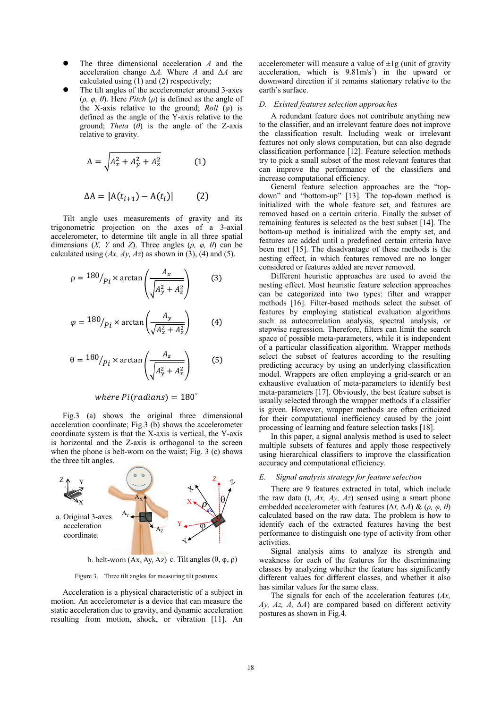- $\bullet$  The three dimensional acceleration *A* and the acceleration change  $\Delta A$ . Where *A* and  $\Delta A$  are calculated using (1) and (2) respectively;
- $\bullet$  The tilt angles of the accelerometer around 3-axes  $(\rho, \varphi, \theta)$ . Here *Pitch*  $(\rho)$  is defined as the angle of the X-axis relative to the ground;  $Roll$  ( $\varphi$ ) is defined as the angle of the Y-axis relative to the ground; *Theta*  $(\theta)$  is the angle of the Z-axis relative to gravity.

$$
A = \sqrt{A_x^2 + A_y^2 + A_z^2}
$$
 (1)

$$
\Delta A = |A(t_{i+1}) - A(t_i)| \qquad (2)
$$

Tilt angle uses measurements of gravity and its trigonometric projection on the axes of a 3-axial accelerometer, to determine tilt angle in all three spatial dimensions  $(X, Y \text{ and } Z)$ . Three angles  $(\rho, \varphi, \theta)$  can be calculated using  $(Ax, Ay, Az)$  as shown in (3), (4) and (5).

$$
\rho = \frac{180}{p_i \times \arctan\left(\frac{A_x}{\sqrt{A_y^2 + A_z^2}}\right)}\tag{3}
$$

$$
\varphi = \frac{180}{p_i \times \arctan\left(\frac{A_y}{\sqrt{A_x^2 + A_z^2}}\right)} \tag{4}
$$

$$
\theta = \frac{180}{p_i \times \arctan\left(\frac{A_z}{\sqrt{A_y^2 + A_x^2}}\right)} \tag{5}
$$

# where  $P$ *i*(radians) =  $180^\circ$

Fig.3 (a) shows the original three dimensional acceleration coordinate; Fig.3 (b) shows the accelerometer coordinate system is that the X-axis is vertical, the Y-axis is horizontal and the Z-axis is orthogonal to the screen when the phone is belt-worn on the waist; Fig. 3 (c) shows the three tilt angles.



b. belt-worn  $(Ax, Ay, Az)$  c. Tilt angles  $(\theta, \varphi, \rho)$ 

Figure 3. Three tilt angles for measuring tilt postures.

Acceleration is a physical characteristic of a subject in motion. An accelerometer is a device that can measure the static acceleration due to gravity, and dynamic acceleration resulting from motion, shock, or vibration [11]. An

accelerometer will measure a value of  $\pm 1g$  (unit of gravity acceleration, which is  $9.81 \text{m/s}^2$ ) in the upward or downward direction if it remains stationary relative to the earth's surface.

## *D. Existed features selection approaches*

A redundant feature does not contribute anything new to the classifier, and an irrelevant feature does not improve the classification result. Including weak or irrelevant features not only slows computation, but can also degrade classification performance [12]. Feature selection methods try to pick a small subset of the most relevant features that can improve the performance of the classifiers and increase computational efficiency.

General feature selection approaches are the "topdown" and "bottom-up" [13]. The top-down method is initialized with the whole feature set, and features are removed based on a certain criteria. Finally the subset of remaining features is selected as the best subset [14]. The bottom-up method is initialized with the empty set, and features are added until a predefined certain criteria have been met [15]. The disadvantage of these methods is the nesting effect, in which features removed are no longer considered or features added are never removed.

Different heuristic approaches are used to avoid the nesting effect. Most heuristic feature selection approaches can be categorized into two types: filter and wrapper methods [16]. Filter-based methods select the subset of features by employing statistical evaluation algorithms such as autocorrelation analysis, spectral analysis, or stepwise regression. Therefore, filters can limit the search space of possible meta-parameters, while it is independent of a particular classification algorithm. Wrapper methods select the subset of features according to the resulting predicting accuracy by using an underlying classification model. Wrappers are often employing a grid-search or an exhaustive evaluation of meta-parameters to identify best meta-parameters [17]. Obviously, the best feature subset is usually selected through the wrapper methods if a classifier is given. However, wrapper methods are often criticized for their computational inefficiency caused by the joint processing of learning and feature selection tasks [18].

In this paper, a signal analysis method is used to select multiple subsets of features and apply those respectively using hierarchical classifiers to improve the classification accuracy and computational efficiency.

## *E. Signal analysis strategy for feature selection*

There are 9 features extracted in total, which include the raw data (t, *Ax, Ay, Az*) sensed using a smart phone embedded accelerometer with features  $(\Delta t, \Delta A)$  &  $(\rho, \varphi, \theta)$ calculated based on the raw data. The problem is how to identify each of the extracted features having the best performance to distinguish one type of activity from other activities.

Signal analysis aims to analyze its strength and weakness for each of the features for the discriminating classes by analyzing whether the feature has significantly different values for different classes, and whether it also has similar values for the same class.

The signals for each of the acceleration features (*Ax,*   $Ay$ ,  $Az$ ,  $A$ ,  $\Delta A$ ) are compared based on different activity postures as shown in Fig.4.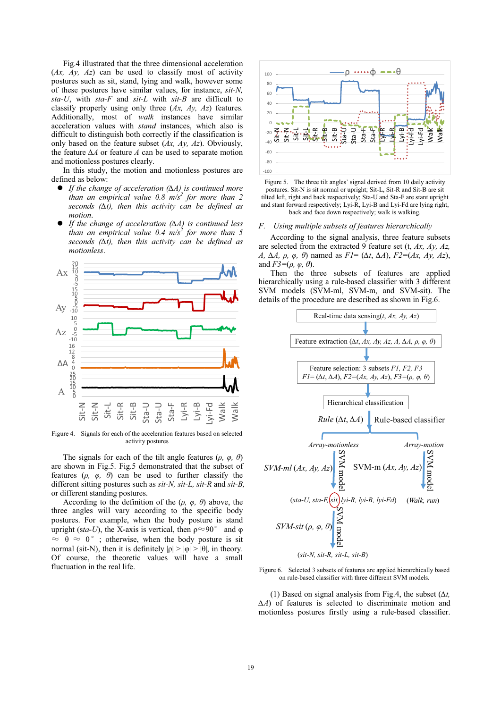Fig.4 illustrated that the three dimensional acceleration (*Ax, Ay, Az*) can be used to classify most of activity postures such as sit, stand, lying and walk, however some of these postures have similar values, for instance, *sit-N, sta-U*, with *sta-F* and *sit-L* with *sit-B* are difficult to classify properly using only three (*Ax, Ay, Az*) features. Additionally, most of *walk* instances have similar acceleration values with *stand* instances, which also is difficult to distinguish both correctly if the classification is only based on the feature subset (*Ax, Ay, Az*). Obviously, the feature  $\Delta A$  or feature  $A$  can be used to separate motion and motionless postures clearly.

In this study, the motion and motionless postures are defined as below:

- $\bullet$ ● If the change of acceleration ( $\Delta A$ ) is continued more *than an empirical value 0.8 m/s2 for more than 2*   $seconds$  ( $\Delta t$ ), then this activity can be defined as *motion*.
- $\bullet$ • If the change of acceleration  $(\Delta A)$  is continued less *than an empirical value 0.4 m/s2 for more than 5*   $seconds$  ( $\Delta t$ ), then this activity can be defined as *motionless*.



Figure 4. Signals for each of the acceleration features based on selected activity postures

The signals for each of the tilt angle features  $(\rho, \varphi, \theta)$ are shown in Fig.5. Fig.5 demonstrated that the subset of features  $(\rho, \varphi, \theta)$  can be used to further classify the different sitting postures such as *sit-N, sit-L, sit-R* and *sit-B,* or different standing postures.

According to the definition of the  $(\rho, \varphi, \theta)$  above, the three angles will vary according to the specific body postures. For example, when the body posture is stand upright (sta-U), the X-axis is vertical, then  $\rho \approx 90^\circ$  and  $\varphi$  $\approx \theta \approx 0^{\circ}$ ; otherwise, when the body posture is sit normal (sit-N), then it is definitely  $|\rho| > |\phi| > |\theta|$ , in theory. Of course, the theoretic values will have a small fluctuation in the real life.



Figure 5. The three tilt angles' signal derived from 10 daily activity postures. Sit-N is sit normal or upright; Sit-L, Sit-R and Sit-B are sit tilted left, right and back respectively; Sta-U and Sta-F are stant upright and stant forward respectively; Lyi-R, Lyi-B and Lyi-Fd are lying right, back and face down respectively; walk is walking.

#### *F. Using multiple subsets of features hierarchically*

According to the signal analysis, three feature subsets are selected from the extracted 9 feature set (t, *Ax, Ay, Az, A*,  $\Delta A$ ,  $\rho$ ,  $\varphi$ ,  $\theta$ ) named as  $FI = (\Delta t, \Delta A)$ ,  $F2 = (Ax, Ay, Az)$ , and  $F3=(\rho, \varphi, \theta)$ .

Then the three subsets of features are applied hierarchically using a rule-based classifier with 3 different SVM models (SVM-ml, SVM-m, and SVM-sit). The details of the procedure are described as shown in Fig.6.



Figure 6. Selected 3 subsets of features are applied hierarchically based on rule-based classifier with three different SVM models.

(1) Based on signal analysis from Fig.4, the subset  $(\Delta t,$ *-A*) of features is selected to discriminate motion and motionless postures firstly using a rule-based classifier.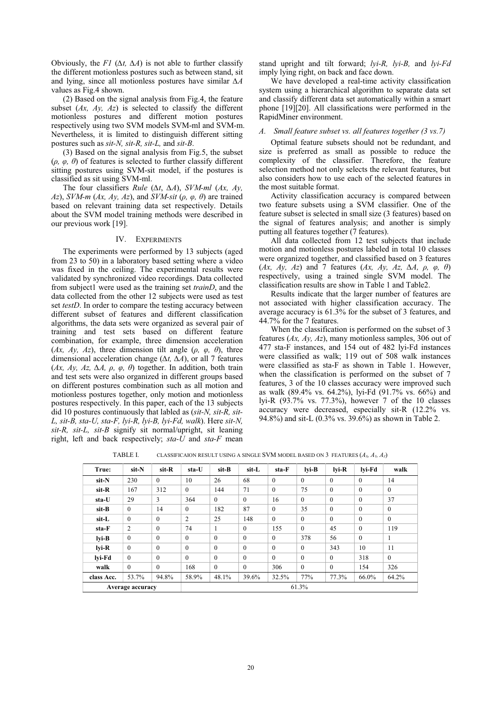Obviously, the *F1* ( $\Delta t$ ,  $\Delta A$ ) is not able to further classify the different motionless postures such as between stand, sit and lying, since all motionless postures have similar  $\Delta A$ values as Fig.4 shown.

(2) Based on the signal analysis from Fig.4, the feature subset (*Ax, Ay, Az*) is selected to classify the different motionless postures and different motion postures respectively using two SVM models SVM-ml and SVM-m. Nevertheless, it is limited to distinguish different sitting postures such as *sit-N, sit-R, sit-L,* and *sit-B*.

(3) Based on the signal analysis from Fig.5, the subset  $(\rho, \varphi, \theta)$  of features is selected to further classify different sitting postures using SVM-sit model, if the postures is classified as sit using SVM-ml.

The four classifiers *Rule* ( $\Delta t$ ,  $\Delta A$ ), *SVM-ml* ( $Ax$ ,  $Ay$ , *Az*), *SVM-m (Ax, Ay, Az)*, and *SVM-sit* ( $\rho$ ,  $\varphi$ ,  $\theta$ ) are trained based on relevant training data set respectively. Details about the SVM model training methods were described in our previous work [19].

## IV. EXPERIMENTS

The experiments were performed by 13 subjects (aged from 23 to 50) in a laboratory based setting where a video was fixed in the ceiling. The experimental results were validated by synchronized video recordings. Data collected from subject1 were used as the training set *trainD*, and the data collected from the other 12 subjects were used as test set *testD*. In order to compare the testing accuracy between different subset of features and different classification algorithms, the data sets were organized as several pair of training and test sets based on different feature combination, for example, three dimension acceleration (*Ax, Ay, Az*), three dimension tilt angle ( $\rho$ ,  $\varphi$ ,  $\theta$ ), three dimensional acceleration change  $(\Delta t, \Delta A)$ , or all 7 features  $(Ax, Ay, Az, \Delta A, \rho, \varphi, \theta)$  together. In addition, both train and test sets were also organized in different groups based on different postures combination such as all motion and motionless postures together, only motion and motionless postures respectively. In this paper, each of the 13 subjects did 10 postures continuously that labled as (*sit-N, sit-R, sit-L, sit-B, sta-U, sta-F, lyi-R, lyi-B, lyi-Fd, walk*). Here *sit-N, sit-R, sit-L, sit-B* signify sit normal/upright, sit leaning right, left and back respectively; *sta-U* and *sta-F* mean

stand upright and tilt forward; *lyi-R, lyi-B,* and *lyi-Fd* imply lying right, on back and face down.

We have developed a real-time activity classification system using a hierarchical algorithm to separate data set and classify different data set automatically within a smart phone [19][20]. All classifications were performed in the RapidMiner environment.

## *A. Small feature subset vs. all features together (3 vs.7)*

Optimal feature subsets should not be redundant, and size is preferred as small as possible to reduce the complexity of the classifier. Therefore, the feature selection method not only selects the relevant features, but also considers how to use each of the selected features in the most suitable format.

Activity classification accuracy is compared between two feature subsets using a SVM classifier. One of the feature subset is selected in small size (3 features) based on the signal of features analysis; and another is simply putting all features together (7 features).

All data collected from 12 test subjects that include motion and motionless postures labeled in total 10 classes were organized together, and classified based on 3 features  $(Ax, Ay, Az)$  and 7 features  $(Ax, Ay, Az, \Delta A, \rho, \varphi, \theta)$ respectively, using a trained single SVM model. The classification results are show in Table 1 and Table2.

Results indicate that the larger number of features are not associated with higher classification accuracy. The average accuracy is 61.3% for the subset of 3 features, and 44.7% for the 7 features.

When the classification is performed on the subset of 3 features (*Ax, Ay, Az*), many motionless samples, 306 out of 477 sta-F instances, and 154 out of 482 lyi-Fd instances were classified as walk; 119 out of 508 walk instances were classified as sta-F as shown in Table 1. However, when the classification is performed on the subset of 7 features, 3 of the 10 classes accuracy were improved such as walk (89.4% vs. 64.2%), lyi-Fd (91.7% vs. 66%) and lyi-R (93.7% vs. 77.3%), however 7 of the 10 classes accuracy were decreased, especially sit-R (12.2% vs. 94.8%) and sit-L (0.3% vs. 39.6%) as shown in Table 2.

TABLE I. CLASSIFICAION RESULT USING A SINGLE SVM MODEL BASED ON 3 FEATURES  $(A_x, A_y, A_z)$ 

| True:       | sit-N            | sit-R        | sta-U    | sit-B    | sit-L        | sta-F    | lvi-B    | lvi-R    | lvi-Fd   | walk         |
|-------------|------------------|--------------|----------|----------|--------------|----------|----------|----------|----------|--------------|
| sit-N       | 230              | $\theta$     | 10       | 26       | 68           | $\theta$ | $\theta$ | $\theta$ | $\theta$ | 14           |
| sit-R       | 167              | 312          | $\theta$ | 144      | 71           | $\theta$ | 75       | $\theta$ | $\theta$ | $\mathbf{0}$ |
| sta-U       | 29               | 3            | 364      | $\theta$ | $\mathbf{0}$ | 16       | $\theta$ | $\theta$ | $\theta$ | 37           |
| sit-B       | $\mathbf{0}$     | 14           | $\theta$ | 182      | 87           | $\theta$ | 35       | $\theta$ | $\theta$ | $\mathbf{0}$ |
| sit-L       | $\mathbf{0}$     | $\mathbf{0}$ | 2        | 25       | 148          | $\theta$ | $\theta$ | $\theta$ | $\theta$ | $\mathbf{0}$ |
| sta-F       | 2                | $\theta$     | 74       |          | $\mathbf{0}$ | 155      | $\theta$ | 45       | $\theta$ | 119          |
| $l$ vi-B    | $\mathbf{0}$     | $\theta$     | $\theta$ | $\theta$ | $\mathbf{0}$ | $\theta$ | 378      | 56       | $\theta$ | 1            |
| $l$ vi- $R$ | $\mathbf{0}$     | $\theta$     | $\theta$ | $\theta$ | $\mathbf{0}$ | $\theta$ | $\theta$ | 343      | 10       | 11           |
| lvi-Fd      | $\theta$         | $\theta$     | $\theta$ | $\theta$ | $\mathbf{0}$ | $\theta$ | $\theta$ | $\theta$ | 318      | $\mathbf{0}$ |
| walk        | $\mathbf{0}$     | $\theta$     | 168      | $\theta$ | $\mathbf{0}$ | 306      | $\bf{0}$ | $\theta$ | 154      | 326          |
| class Acc.  | 53.7%            | 94.8%        | 58.9%    | 48.1%    | 39.6%        | 32.5%    | 77%      | 77.3%    | 66.0%    | 64.2%        |
|             | Average accuracy |              |          |          |              |          | 61.3%    |          |          |              |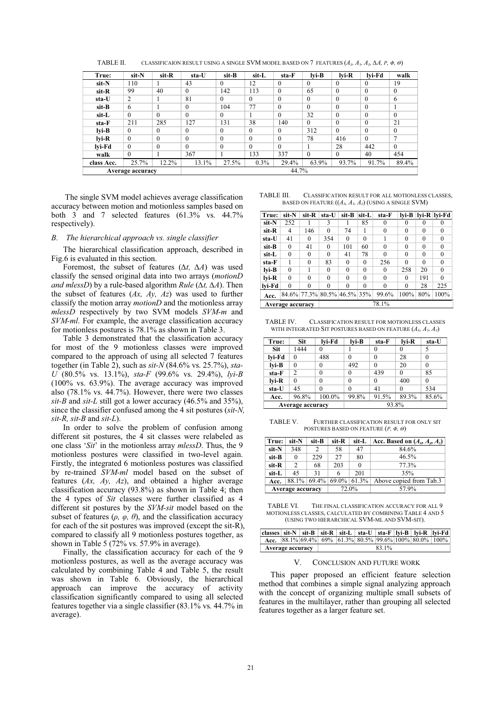| True:      | sit-N            | sit-R    | sta-U    | sit-B    | sit-L    | sta-F    | $l$ vi-B     | lvi-R    | lvi-Fd   | walk         |
|------------|------------------|----------|----------|----------|----------|----------|--------------|----------|----------|--------------|
| sit-N      | 110              |          | 43       | $\theta$ | 12       | $\theta$ | $\Omega$     | $\theta$ | $\theta$ | 19           |
| sit-R      | 99               | 40       | $\theta$ | 142      | 113      | $\theta$ | 65           | $\theta$ | $\theta$ | $\theta$     |
| sta-U      | 2                |          | 81       | $\Omega$ | $\theta$ | $\theta$ | $\mathbf{0}$ | $\theta$ | $\theta$ | 6            |
| sit-B      | 6                |          | $\theta$ | 104      | 77       | $\theta$ | $\Omega$     | $\theta$ | $\Omega$ |              |
| sit-L      | $\mathbf{0}$     | $\theta$ | $\theta$ | $\Omega$ |          | $\theta$ | 32           | $\theta$ | $\theta$ | $\theta$     |
| sta-F      | 211              | 285      | 127      | 131      | 38       | 140      | $\Omega$     | $\theta$ | $\theta$ | 21           |
| $l$ yi-B   | $\mathbf{0}$     | $\theta$ | $\theta$ | $\theta$ | $\theta$ | $\theta$ | 312          | $\theta$ | $\theta$ | $\mathbf{0}$ |
| lvi-R      | $\mathbf{0}$     | $\Omega$ | $\theta$ | $\Omega$ | $\theta$ | $\theta$ | 78           | 416      | $\Omega$ | 7            |
| lvi-Fd     | $\mathbf{0}$     | $\Omega$ | $\theta$ | $\Omega$ | $\theta$ | $\theta$ |              | 28       | 442      | $\theta$     |
| walk       | $\theta$         |          | 367      |          | 133      | 337      | $\Omega$     | $\theta$ | 40       | 454          |
| class Acc. | 25.7%            | 12.2%    | 13.1%    | 27.5%    | $0.3\%$  | 29.4%    | 63.9%        | 93.7%    | 91.7%    | 89.4%        |
|            | Average accuracy |          |          | 44.7%    |          |          |              |          |          |              |

TABLE II. CLASSIFICAION RESULT USING A SINGLE SVM MODEL BASED ON 7 FEATURES  $(A_x, A_y, A_z, \Delta A, P, \phi, \phi)$ 

 The single SVM model achieves average classification accuracy between motion and motionless samples based on both 3 and 7 selected features (61.3% vs. 44.7% respectively).

### *B. The hierarchical approach vs. single classifier*

The hierarchical classification approach, described in Fig.6 is evaluated in this section.

Foremost, the subset of features  $(\Delta t, \Delta A)$  was used classify the sensed original data into two arrays (*motionD and mlessD*) by a rule-based algorithm *Rule* ( $\Delta t$ ,  $\Delta A$ ). Then the subset of features (*Ax, Ay, Az*) was used to further classify the motion array *motionD* and the motionless array *mlessD* respectively by two SVM models *SVM-m* and *SVM-ml*. For example, the average classification accuracy for motionless postures is 78.1% as shown in Table 3.

Table 3 demonstrated that the classification accuracy for most of the 9 motionless classes were improved compared to the approach of using all selected 7 features together (in Table 2), such as *sit-N* (84.6% vs. 25.7%), *sta-U* (80.5% vs. 13.1%), *sta-F* (99.6% vs. 29.4%), *lyi-B* (100% vs. 63.9%). The average accuracy was improved also  $(78.1\% \text{ vs. } 44.7\%)$ . However, there were two classes *sit-B* and *sit-L* still got a lower accuracy (46.5% and 35%), since the classifier confused among the 4 sit postures (*sit-N, sit-R, sit-B* and *sit-L*).

In order to solve the problem of confusion among different sit postures, the 4 sit classes were relabeled as one class '*Sit*' in the motionless array *mlessD*. Thus, the 9 motionless postures were classified in two-level again. Firstly, the integrated 6 motionless postures was classified by re-trained *SVM-ml* model based on the subset of features (*Ax, Ay, Az*), and obtained a higher average classification accuracy (93.8%) as shown in Table 4; then the 4 types of *Sit* classes were further classified as 4 different sit postures by the *SVM-sit* model based on the subset of features  $(\rho, \varphi, \theta)$ , and the classification accuracy for each of the sit postures was improved (except the sit-R), compared to classify all 9 motionless postures together, as shown in Table 5 (72% vs. 57.9% in average).

Finally, the classification accuracy for each of the 9 motionless postures, as well as the average accuracy was calculated by combining Table 4 and Table 5, the result was shown in Table 6. Obviously, the hierarchical approach can improve the accuracy of activity classification significantly compared to using all selected features together via a single classifier (83.1% vs. 44.7% in average).

| TABLE III. | CLASSIFICATION RESULT FOR ALL MOTIONLESS CLASSES.       |  |  |  |
|------------|---------------------------------------------------------|--|--|--|
|            | BASED ON FEATURE $(A_x, A_y, A_z)$ (USING A SINGLE SVM) |  |  |  |

| True:            | sit-N    | sit-R    | sta-U                       | sit-B    | sit-L    | sta-F    | lvi-B    |          | lvi-R   lvi-Fd |  |
|------------------|----------|----------|-----------------------------|----------|----------|----------|----------|----------|----------------|--|
| sit-N            | 252      |          | 3                           | 1        | 85       | $\theta$ | 0        | 0        | 0              |  |
| sit-R            | 4        | 146      | $\Omega$                    | 74       | 1        | $\theta$ | $\Omega$ | $\theta$ | $\theta$       |  |
| sta-U            | 41       | 0        | 354                         | $\theta$ | $\Omega$ |          | $\Omega$ | $\Omega$ | $\Omega$       |  |
| sit-B            | $\Omega$ | 41       | $\Omega$                    | 101      | 60       | $\theta$ | 0        | $\Omega$ | 0              |  |
| sit-L            | $\theta$ | 0        | $\Omega$                    | 41       | 78       | $\theta$ | $\Omega$ | $\Omega$ | $\Omega$       |  |
| sta-F            |          | $\Omega$ | 83                          | $\theta$ | $\Omega$ | 256      | $\Omega$ | $\Omega$ | $\Omega$       |  |
| lvi-B            | $\Omega$ |          | $\Omega$                    | $\Omega$ | $\Omega$ | $\Omega$ | 258      | 20       | $\Omega$       |  |
| lvi-R            | $\Omega$ | $\Omega$ | $\Omega$                    | $\Omega$ | $\Omega$ | $\Omega$ | 0        | 191      | $\Omega$       |  |
| lvi-Fd           | $\theta$ | $\theta$ | $\theta$                    | $\bf{0}$ | $\theta$ | $\theta$ | $\theta$ | 28       | 225            |  |
| Acc.             |          |          | 84.6% 77.3% 80.5% 46.5% 35% |          |          | 99.6%    | 100%     | 80%      | 100%           |  |
| Average accuracy |          |          |                             | 78.1%    |          |          |          |          |                |  |

TABLE IV. CLASSIFICATION RESULT FOR MOTIONLESS CLASSES WITH INTEGRATED SIT POSTURES BASED ON FEATURE  $(A_x, A_y, A_z)$ 

| True:  | Sit              | lvi-Fd   | lvi-B    | sta-F    | lvi-R    | sta-U    |  |
|--------|------------------|----------|----------|----------|----------|----------|--|
| Sit    | 1444             | $\Omega$ |          | 0        | $\theta$ |          |  |
| lvi-Fd | 0                | 488      | $\theta$ | $\theta$ | 28       | 0        |  |
| lvi-B  | $\theta$         | $\theta$ | 492      | $\Omega$ | 20       | $\theta$ |  |
| sta-F  | 2                | $\theta$ | 0        | 439      | $\theta$ | 85       |  |
| lvi-R  | $\theta$         | $\theta$ | $\theta$ | $\theta$ | 400      | $\theta$ |  |
| sta-U  | 45               | $\Omega$ | $\theta$ | 41       | $\Omega$ | 534      |  |
| Acc.   | 96.8%            | 100.0%   | 99.8%    | 91.5%    | 89.3%    | 85.6%    |  |
|        | Average accuracy |          | 93.8%    |          |          |          |  |

TABLE V. FURTHER CLASSIFICATION RESULT FOR ONLY SIT POSTURES BASED ON FEATURE  $(P, \Phi, \Theta)$ 

| True:            | sit-N         | sit-B | sit-R | sit-L                      | Acc. Based on $(A_x, A_y, A_z)$ |  |
|------------------|---------------|-------|-------|----------------------------|---------------------------------|--|
| sit-N            | 348           | 2     | 58    | 47                         | 84.6%                           |  |
| sit-B            | $\theta$      | 229   | 27    | 80                         | 46.5%                           |  |
| sit-R            | $\mathcal{L}$ | 68    | 203   | 0                          | 77.3%                           |  |
| sit-L            | 45            | 31    | 6     | 201                        | 35%                             |  |
| Acc.             |               |       |       | $88.1\%$ 69.4% 69.0% 61.3% | Above copied from Tab.3         |  |
| Average accuracy |               | 72.0% |       | 57.9%                      |                                 |  |

TABLE VI. THE FINAL CLASSIFICATION ACCURACY FOR ALL 9 MOTIONI ESS CLASSES, CALCULATED BY COMBINING TABLE 4 AND 5 (USING TWO HIERARCHICAL SVM-ML AND SVM-SIT).

| classes   sit-N   sit-B   sit-R   sit-L   sta-U   sta-F   lyi-B   lyi-R   lyi-Fd |                  |  |  |  |                                                                           |       |  |  |
|----------------------------------------------------------------------------------|------------------|--|--|--|---------------------------------------------------------------------------|-------|--|--|
|                                                                                  |                  |  |  |  | Acc. $ 88.1\% 69.4\% 69\% 61.3\% 80.5\% 99.6\% 100\% 80.0\% 100\% 100\% $ |       |  |  |
|                                                                                  | Average accuracy |  |  |  |                                                                           | 83.1% |  |  |

#### V. CONCLUSION AND FUTURE WORK

This paper proposed an efficient feature selection method that combines a simple signal analyzing approach with the concept of organizing multiple small subsets of features in the multilayer, rather than grouping all selected features together as a larger feature set.